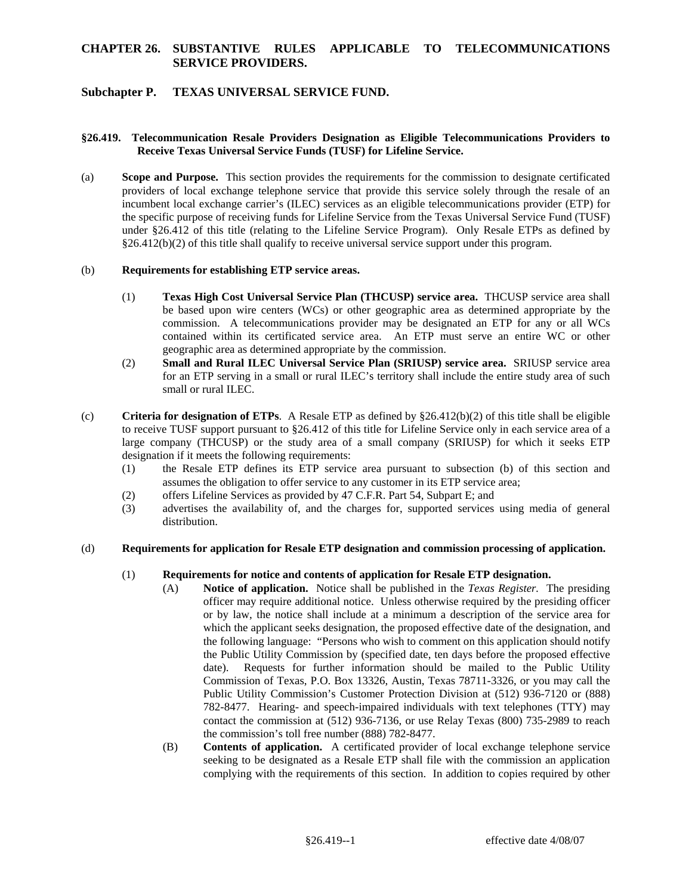# **CHAPTER 26. SUBSTANTIVE RULES APPLICABLE TO TELECOMMUNICATIONS SERVICE PROVIDERS.**

## **Subchapter P. TEXAS UNIVERSAL SERVICE FUND.**

### **§26.419. Telecommunication Resale Providers Designation as Eligible Telecommunications Providers to Receive Texas Universal Service Funds (TUSF) for Lifeline Service.**

 (a) **Scope and Purpose.** This section provides the requirements for the commission to designate certificated providers of local exchange telephone service that provide this service solely through the resale of an incumbent local exchange carrier's (ILEC) services as an eligible telecommunications provider (ETP) for the specific purpose of receiving funds for Lifeline Service from the Texas Universal Service Fund (TUSF) under §26.412 of this title (relating to the Lifeline Service Program). Only Resale ETPs as defined by §26.412(b)(2) of this title shall qualify to receive universal service support under this program.

#### (b) **Requirements for establishing ETP service areas.**

- commission. A telecommunications provider may be designated an ETP for any or all WCs (1) **Texas High Cost Universal Service Plan (THCUSP) service area.** THCUSP service area shall be based upon wire centers (WCs) or other geographic area as determined appropriate by the contained within its certificated service area. An ETP must serve an entire WC or other geographic area as determined appropriate by the commission.
- (2) **Small and Rural ILEC Universal Service Plan (SRIUSP) service area.** SRIUSP service area for an ETP serving in a small or rural ILEC's territory shall include the entire study area of such small or rural ILEC.
- (c) **Criteria for designation of ETPs**. A Resale ETP as defined by §26.412(b)(2) of this title shall be eligible to receive TUSF support pursuant to §26.412 of this title for Lifeline Service only in each service area of a large company (THCUSP) or the study area of a small company (SRIUSP) for which it seeks ETP designation if it meets the following requirements:
	- (1) the Resale ETP defines its ETP service area pursuant to subsection (b) of this section and assumes the obligation to offer service to any customer in its ETP service area;
	- (2) offers Lifeline Services as provided by 47 C.F.R. Part 54, Subpart E; and
	- (3) advertises the availability of, and the charges for, supported services using media of general distribution.

#### (d) **Requirements for application for Resale ETP designation and commission processing of application.**

#### (1) **Requirements for notice and contents of application for Resale ETP designation.**

- (A) **Notice of application.** Notice shall be published in the *Texas Register.* The presiding the following language: "Persons who wish to comment on this application should notify officer may require additional notice. Unless otherwise required by the presiding officer or by law, the notice shall include at a minimum a description of the service area for which the applicant seeks designation, the proposed effective date of the designation, and the Public Utility Commission by (specified date, ten days before the proposed effective date). Requests for further information should be mailed to the Public Utility Commission of Texas, P.O. Box 13326, Austin, Texas 78711-3326, or you may call the Public Utility Commission's Customer Protection Division at (512) 936-7120 or (888) 782-8477. Hearing- and speech-impaired individuals with text telephones (TTY) may contact the commission at (512) 936-7136, or use Relay Texas (800) 735-2989 to reach the commission's toll free number (888) 782-8477.
	- (B) **Contents of application.** A certificated provider of local exchange telephone service seeking to be designated as a Resale ETP shall file with the commission an application complying with the requirements of this section. In addition to copies required by other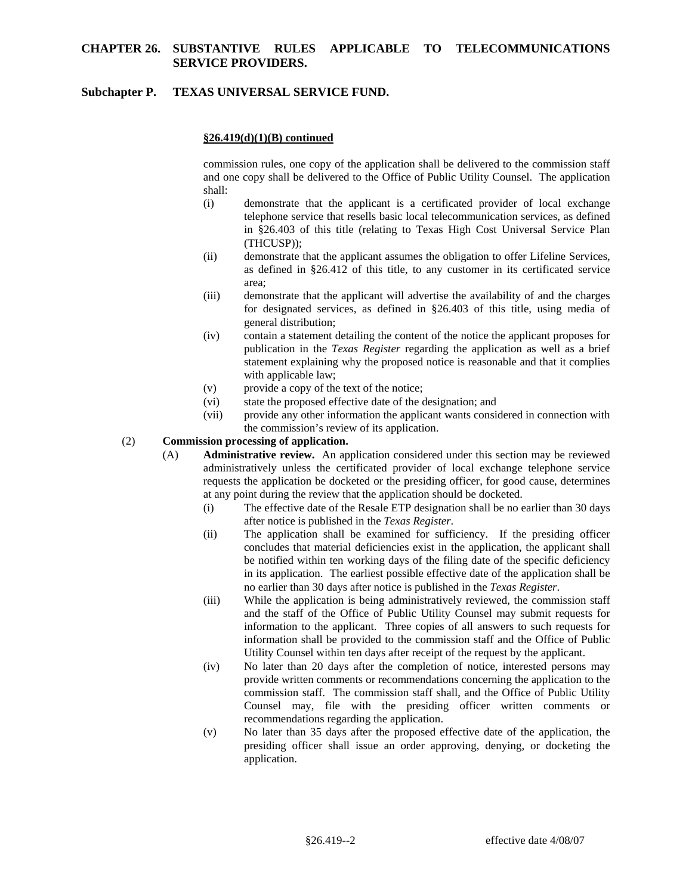## **CHAPTER 26. SUBSTANTIVE RULES APPLICABLE TO TELECOMMUNICATIONS SERVICE PROVIDERS.**

## **Subchapter P. TEXAS UNIVERSAL SERVICE FUND.**

## **§26.419(d)(1)(B) continued**

commission rules, one copy of the application shall be delivered to the commission staff and one copy shall be delivered to the Office of Public Utility Counsel. The application shall:

- (i) demonstrate that the applicant is a certificated provider of local exchange telephone service that resells basic local telecommunication services, as defined in §26.403 of this title (relating to Texas High Cost Universal Service Plan (THCUSP));
- (ii) demonstrate that the applicant assumes the obligation to offer Lifeline Services, as defined in §26.412 of this title, to any customer in its certificated service area;
- general distribution; (iii) demonstrate that the applicant will advertise the availability of and the charges for designated services, as defined in §26.403 of this title, using media of
- (iv) contain a statement detailing the content of the notice the applicant proposes for publication in the *Texas Register* regarding the application as well as a brief statement explaining why the proposed notice is reasonable and that it complies with applicable law;
- (v) provide a copy of the text of the notice;
- $(vi)$ state the proposed effective date of the designation; and
- $(vii)$ provide any other information the applicant wants considered in connection with the commission's review of its application.

### (2) **Commission processing of application.**

- (A) **Administrative review.** An application considered under this section may be reviewed administratively unless the certificated provider of local exchange telephone service requests the application be docketed or the presiding officer, for good cause, determines at any point during the review that the application should be docketed.
	- (i) The effective date of the Resale ETP designation shall be no earlier than 30 days after notice is published in the *Texas Register*.
	- in its application. The earliest possible effective date of the application shall be (ii) The application shall be examined for sufficiency. If the presiding officer concludes that material deficiencies exist in the application, the applicant shall be notified within ten working days of the filing date of the specific deficiency no earlier than 30 days after notice is published in the *Texas Register*.
	- (iii) While the application is being administratively reviewed, the commission staff and the staff of the Office of Public Utility Counsel may submit requests for information to the applicant. Three copies of all answers to such requests for information shall be provided to the commission staff and the Office of Public Utility Counsel within ten days after receipt of the request by the applicant.
	- $(iv)$  provide written comments or recommendations concerning the application to the commission staff. The commission staff shall, and the Office of Public Utility No later than 20 days after the completion of notice, interested persons may Counsel may, file with the presiding officer written comments or recommendations regarding the application.
	- (v) No later than 35 days after the proposed effective date of the application, the presiding officer shall issue an order approving, denying, or docketing the application.